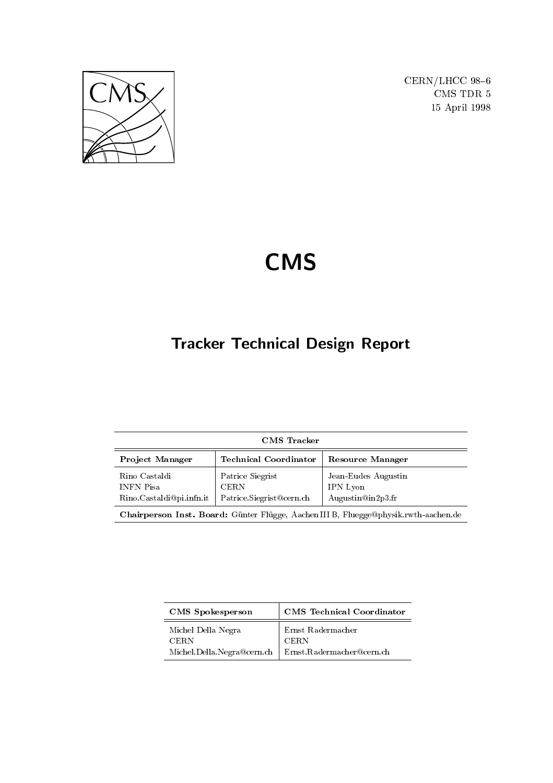

CERN/LHCC 98-6 CMS TDR 5 15 April 1998

# **CMS**

## Tracker Technical Design Report

| <b>CMS</b> Tracker                                            |                                                             |                                                                                    |  |
|---------------------------------------------------------------|-------------------------------------------------------------|------------------------------------------------------------------------------------|--|
| <b>Project Manager</b>                                        | <b>Technical Coordinator</b>                                | <b>Resource Manager</b>                                                            |  |
| Rino Castaldi<br><b>INFN Pisa</b><br>Rino Castaldi@pi.infn.it | Patrice Siegrist<br><b>CERN</b><br>Patrice.Siegrist@cern.ch | Jean-Eudes Augustin<br><b>IPN</b> Lyon<br>Augustin@in2p3.fr                        |  |
|                                                               |                                                             | Chairperson Inst. Board: Günter Flügge, Aachen IIIB, Fluegge@physik.rwth-aachen.de |  |

| <b>CMS</b> Spokesperson    | <b>CMS</b> Technical Coordinator |
|----------------------------|----------------------------------|
| Michel Della Negra<br>CERN | Ernst Radermacher<br><b>CERN</b> |
| Michel.Della.Negra@cern.ch | Ernst.Radermacher@cern.ch        |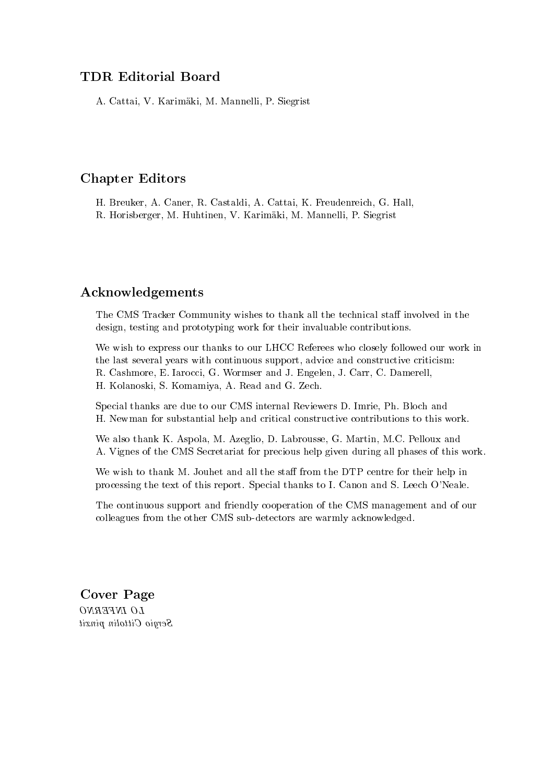### TDR Editorial Board

A. Cattai, V. Karimaki, M. Mannelli, P. Siegrist

### Chapter Editors

H. Breuker, A. Caner, R. Castaldi, A. Cattai, K. Freudenreich, G. Hall, R. Horisberger, M. Huhtinen, V. Karimaki, M. Mannelli, P. Siegrist

### Acknowledgements

The CMS Tracker Community wishes to thank all the technical staff involved in the design, testing and prototyping work for their invaluable contributions.

We wish to express our thanks to our LHCC Referees who closely followed our work in the last several years with continuous support, advice and constructive criticism: R. Cashmore, E. Iarocci, G. Wormser and J. Engelen, J. Carr, C. Damerell, H. Kolanoski, S. Komamiya, A. Read and G. Zech.

Special thanks are due to our CMS internal Reviewers D. Imrie, Ph. Bloch and H. Newman for substantial help and critical constructive contributions to this work.

We also thank K. Aspola, M. Azeglio, D. Labrousse, G. Martin, M.C. Pelloux and A. Vignes of the CMS Secretariat for precious help given during all phases of this work.

We wish to thank M. Jouhet and all the staff from the DTP centre for their help in processing the text of this report. Special thanks to I. Canon and S. Leech O'Neale.

The continuous support and friendly cooperation of the CMS management and of our colleagues from the other CMS sub-detectors are warmly acknowledged.

Cover Page LO INFERNO Sergio Cittolin pinxit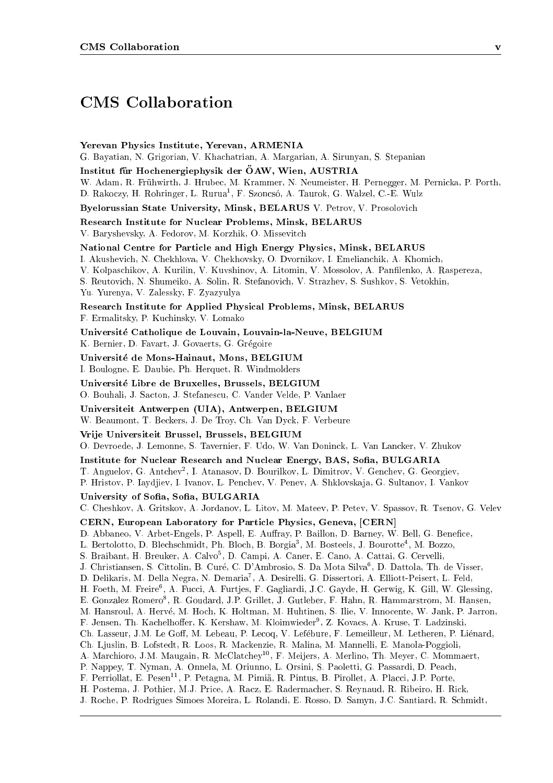### CMS Collaboration

Yerevan Physics Institute, Yerevan, ARMENIA G. Bayatian, N. Grigorian, V. Khachatrian, A. Margarian, A. Sirunyan, S. Stepanian

Institut für Hochenergiephysik der ÖAW, Wien, AUSTRIA

W. Adam, R. Fruhwirth, J. Hrubec, M. Krammer, N. Neumeister, H. Pernegger, M. Pernicka, P. Porth, D. Rakoczy, H. Rohringer, L. Rurua , F. Szoncso, A. Taurok, G. Walzel, C.-E. Wulz

Byelorussian State University, Minsk, BELARUS V. Petrov, V. Prosolovich

Research Institute for Nuclear Problems, Minsk, BELARUS

V. Baryshevsky, A. Fedorov, M. Korzhik, O. Missevitch

National Centre for Particle and High Energy Physics, Minsk, BELARUS

I. Akushevich, N. Chekhlova, V. Chekhovsky, O. Dvornikov, I. Emelianchik, A. Khomich,

V. Kolpaschikov, A. Kurilin, V. Kuvshinov, A. Litomin, V. Mossolov, A. Panlenko, A. Raspereza,

S. Reutovich, N. Shumeiko, A. Solin, R. Stefanovich, V. Strazhev, S. Sushkov, S. Vetokhin,

Yu. Yurenya, V. Zalessky, F. Zyazyulya

Research Institute for Applied Physical Problems, Minsk, BELARUS

F. Ermalitsky, P. Kuchinsky, V. Lomako

Universite Catholique de Louvain, Louvain-la-Neuve, BELGIUM K. Bernier, D. Favart, J. Govaerts, G. Grégoire

Universite de Mons-Hainaut, Mons, BELGIUM

I. Boulogne, E. Daubie, Ph. Herquet, R. Windmolders

Universite Libre de Bruxelles, Brussels, BELGIUM

O. Bouhali, J. Sacton, J. Stefanescu, C. Vander Velde, P. Vanlaer

Universiteit Antwerpen (UIA), Antwerpen, BELGIUM W. Beaumont, T. Beckers, J. De Troy, Ch. Van Dyck, F. Verbeure

Vrije Universiteit Brussel, Brussels, BELGIUM

O. Devroede, J. Lemonne, S. Tavernier, F. Udo, W. Van Doninck, L. Van Lancker, V. Zhukov

Institute for Nuclear Research and Nuclear Energy, BAS, Sofia, BULGARIA

1. Anguelov, G. Antchev<sup>-</sup>, I. Atanasov, D. Bourilkov, L. Dimitrov, V. Genchev, G. Georgiev,

P. Hristov, P. Iaydjiev, I. Ivanov, L. Penchev, V. Penev, A. Shklovska ja, G. Sultanov, I. Vankov

### University of Sofia, Sofia, BULGARIA

C. Cheshkov, A. Gritskov, A. Jordanov, L. Litov, M. Mateev, P. Petev, V. Spassov, R. Tsenov, G. Velev

CERN, European Laboratory for Particle Physics, Geneva, [CERN]

D. Abbaneo, V. Arbet-Engels, P. Aspell, E. Auffray, P. Baillon, D. Barney, W. Bell, G. Benefice,

L. Bertolotto, D. Blechschmidt, P.H. Bloch, B. Borgia<sup>-</sup>, M. Bosteels, J. Bourotte<sup>-</sup>, M. Bozzo,

S. Draibant, H. Dreuker, A. Calvo-, D. Campi, A. Caner, E. Cano, A. Cattai, G. Cervelli, A. Cattai, G. Cervelli,

J. Christiansen, S. Cittolin, B. Curé, C. D'Ambrosio, S. Da Mota Silva<sup>6</sup>, D. Dattola, Th. de Visser,

D. Delikaris, M. Della Negra, N. Demaria], A. Desirelli, G. Dissertori, A. Elliott-Peisert, L. Feld,

H. Foeth, M. Freire", A. Fucci, A. Furtjes, F. Gagliardi, J.C. Gayde, H. Gerwig, K. Gill, W. Glessing,

E. Gonzalez Romero8 , R. Goudard, J.P. Grillet, J. Gutleber, F. Hahn, R. Hammarstrom, M. Hansen,

M. Hansroul, A. Herve, M. Hoch, K. Holtman, M. Huhtinen, S. Ilie, V. Innocente, W. Jank, P. Jarron,

F. Jensen, Th. Kachelhoer, K. Kershaw, M. Kloimwieder<sup>9</sup> , Z. Kovacs, A. Kruse, T. Ladzinski,

Ch. Lasseur, J.M. Le Goff, M. Lebeau, P. Lecoq, V. Lefébure, F. Lemeilleur, M. Letheren, P. Liénard,

Ch. Ljuslin, B. Lofstedt, R. Loos, R. Mackenzie, R. Malina, M. Mannelli, E. Manola-Poggioli,

A. Marchioro, J.M. Maugain, R. McClatchey10, F. Meijers, A. Merlino, Th. Meyer, C. Mommaert,

P. Nappey, T. Nyman, A. Onnela, M. Oriunno, L. Orsini, S. Paoletti, G. Passardi, D. Peach,

- F. Perriollat, E. Pesen<sup>11</sup>, P. Petagna, M. Pimiä, R. Pintus, B. Pirollet, A. Placci, J.P. Porte,
- H. Postema, J. Pothier, M.J. Price, A. Racz, E. Radermacher, S. Reynaud, R. Ribeiro, H. Rick,

J. Roche, P. Rodrigues Simoes Moreira, L. Rolandi, E. Rosso, D. Samyn, J.C. Santiard, R. Schmidt,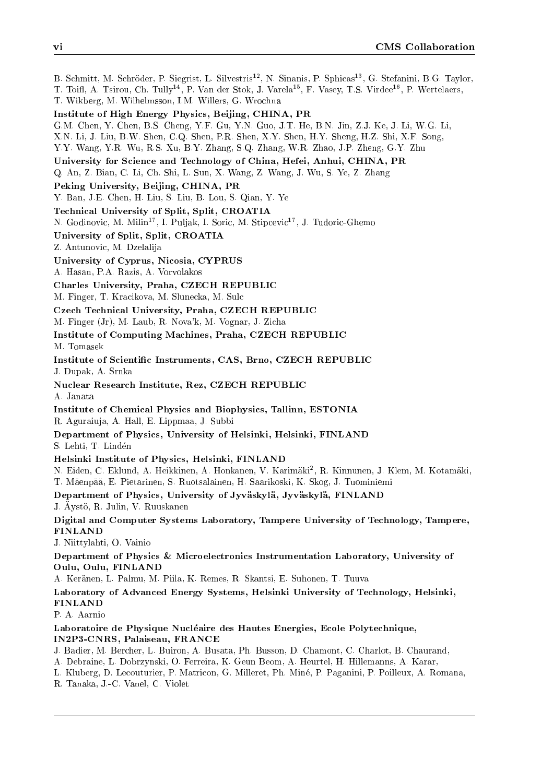B. Schmitt, M. Schröder, P. Siegrist, L. Silvestris<sup>12</sup>, N. Sinanis, P. Sphicas<sup>13</sup>, G. Stefanini, B.G. Taylor, T. Toifl, A. Tsirou, Ch. Tully<sup>14</sup>, P. Van der Stok, J. Varela<sup>15</sup>, F. Vasey, T.S. Virdee<sup>16</sup>, P. Wertelaers, T. Wikberg, M. Wilhelmsson, I.M. Willers, G. Wrochna Institute of High Energy Physics, Beijing, CHINA, PR G.M. Chen, Y. Chen, B.S. Cheng, Y.F. Gu, Y.N. Guo, J.T. He, B.N. Jin, Z.J. Ke, J. Li, W.G. Li, X.N. Li, J. Liu, B.W. Shen, C.Q. Shen, P.R. Shen, X.Y. Shen, H.Y. Sheng, H.Z. Shi, X.F. Song, Y.Y. Wang, Y.R. Wu, R.S. Xu, B.Y. Zhang, S.Q. Zhang, W.R. Zhao, J.P. Zheng, G.Y. Zhu University for Science and Technology of China, Hefei, Anhui, CHINA, PR Q. An, Z. Bian, C. Li, Ch. Shi, L. Sun, X. Wang, Z. Wang, J. Wu, S. Ye, Z. Zhang Peking University, Beijing, CHINA, PR Y. Ban, J.E. Chen, H. Liu, S. Liu, B. Lou, S. Qian, Y. Ye Technical University of Split, Split, CROATIA N. Godinovic, M. Milin<sup>17</sup>, I. Puljak, I. Soric, M. Stipcevic<sup>17</sup>, J. Tudoric-Ghemo University of Split, Split, CROATIA Z. Antunovic, M. Dzelalija University of Cyprus, Nicosia, CYPRUS A. Hasan, P.A. Razis, A. Vorvolakos Charles University, Praha, CZECH REPUBLIC M. Finger, T. Kracikova, M. Slunecka, M. Sulc Czech Technical University, Praha, CZECH REPUBLIC M. Finger (Jr), M. Laub, R. Nova'k, M. Vognar, J. Zicha Institute of Computing Machines, Praha, CZECH REPUBLIC M. Tomasek Institute of Scientic Instruments, CAS, Brno, CZECH REPUBLIC J. Dupak, A. Srnka Nuclear Research Institute, Rez, CZECH REPUBLIC A. Janata Institute of Chemical Physics and Biophysics, Tallinn, ESTONIA R. Aguraiuja, A. Hall, E. Lippmaa, J. Subbi Department of Physics, University of Helsinki, Helsinki, FINLAND S. Lehti, T. Linden Helsinki Institute of Physics, Helsinki, FINLAND N. Eiden, C. Eklund, A. Heikkinen, A. Honkanen, V. Karimaki<sup>2</sup> , R. Kinnunen, J. Klem, M. Kotamaki, T. Maenpaa, E. Pietarinen, S. Ruotsalainen, H. Saarikoski, K. Skog, J. Tuominiemi Department of Physics, University of Jyväskylä, Jyväskylä, FINLAND J. Äystö, R. Julin, V. Ruuskanen Digital and Computer Systems Laboratory, Tampere University of Technology, Tampere, FINLAND J. Niittylahti, O. Vainio Department of Physics & Microelectronics Instrumentation Laboratory, University of Oulu, Oulu, FINLAND A. Keranen, L. Palmu, M. Piila, K. Remes, R. Skantsi, E. Suhonen, T. Tuuva Laboratory of Advanced Energy Systems, Helsinki University of Technology, Helsinki, FINLAND P. A. Aarnio Laboratoire de Physique Nucleaire des Hautes Energies, Ecole Polytechnique, IN2P3-CNRS, Palaiseau, FRANCE J. Badier, M. Bercher, L. Buiron, A. Busata, Ph. Busson, D. Chamont, C. Charlot, B. Chaurand, A. Debraine, L. Dobrzynski, O. Ferreira, K. Geun Beom, A. Heurtel, H. Hillemanns, A. Karar,

L. Kluberg, D. Lecouturier, P. Matricon, G. Milleret, Ph. Mine, P. Paganini, P. Poilleux, A. Romana,

R. Tanaka, J.-C. Vanel, C. Violet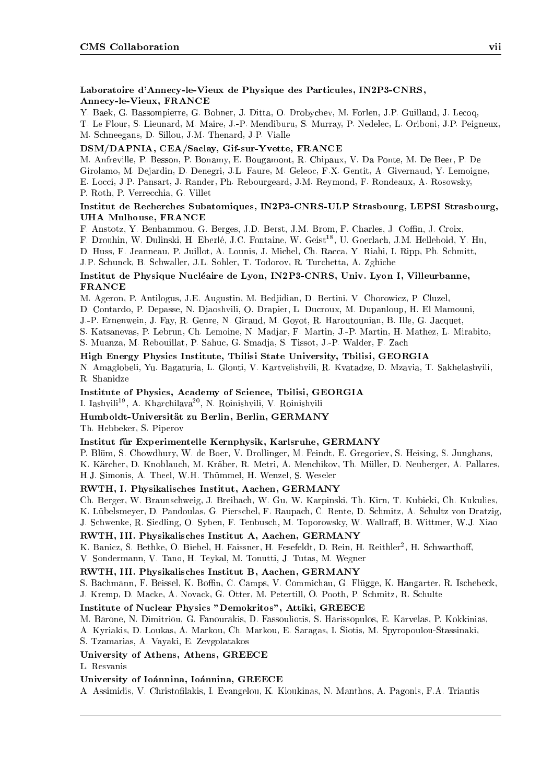### Laboratoire d'Annecy-le-Vieux de Physique des Particules, IN2P3-CNRS, Annecy-le-Vieux, FRANCE

Y. Baek, G. Bassompierre, G. Bohner, J. Ditta, O. Drobychev, M. Forlen, J.P. Guillaud, J. Lecoq,

T. Le Flour, S. Lieunard, M. Maire, J.-P. Mendiburu, S. Murray, P. Nedelec, L. Oriboni, J.P. Peigneux, M. Schneegans, D. Sillou, J.M. Thenard, J.P. Vialle

### DSM/DAPNIA, CEA/Saclay, Gif-sur-Yvette, FRANCE

M. Anfreville, P. Besson, P. Bonamy, E. Bougamont, R. Chipaux, V. Da Ponte, M. De Beer, P. De Girolamo, M. Dejardin, D. Denegri, J.L. Faure, M. Geleoc, F.X. Gentit, A. Givernaud, Y. Lemoigne, E. Locci, J.P. Pansart, J. Rander, Ph. Rebourgeard, J.M. Reymond, F. Rondeaux, A. Rosowsky, P. Roth, P. Verrecchia, G. Villet

### Institut de Recherches Subatomiques, IN2P3-CNRS-ULP Strasbourg, LEPSI Strasbourg, UHA Mulhouse, FRANCE

F. Anstotz, Y. Benhammou, G. Berges, J.D. Berst, J.M. Brom, F. Charles, J. Coffin, J. Croix,

F. Drouhin, W. Dulinski, H. Eberlé, J.C. Fontaine, W. Geist<sup>18</sup>, U. Goerlach, J.M. Helleboid, Y. Hu,

D. Huss, F. Jeanneau, P. Juillot, A. Lounis, J. Michel, Ch. Racca, Y. Riahi, I. Ripp, Ph. Schmitt,

J.P. Schunck, B. Schwaller, J.L. Sohler, T. Todorov, R. Turchetta, A. Zghiche

### Institut de Physique Nucleaire de Lyon, IN2P3-CNRS, Univ. Lyon I, Villeurbanne, FRANCE

M. Ageron, P. Antilogus, J.E. Augustin, M. Bedjidian, D. Bertini, V. Chorowicz, P. Cluzel,

D. Contardo, P. Depasse, N. Djaoshvili, O. Drapier, L. Ducroux, M. Dupanloup, H. El Mamouni,

J.-P. Ernenwein, J. Fay, R. Genre, N. Giraud, M. Goyot, R. Haroutounian, B. Ille, G. Jacquet,

S. Katsanevas, P. Lebrun, Ch. Lemoine, N. Madjar, F. Martin, J.-P. Martin, H. Mathez, L. Mirabito,

S. Muanza, M. Rebouillat, P. Sahuc, G. Smadja, S. Tissot, J.-P. Walder, F. Zach

### High Energy Physics Institute, Tbilisi State University, Tbilisi, GEORGIA

N. Amaglobeli, Yu. Bagaturia, L. Glonti, V. Kartvelishvili, R. Kvatadze, D. Mzavia, T. Sakhelashvili, R. Shanidze

Institute of Physics, Academy of Science, Tbilisi, GEORGIA

I. Iashvili19, A. Kharchilava20, N. Roinishvili, V. Roinishvili

### Humboldt-Universitat zu Berlin, Berlin, GERMANY

Th. Hebbeker, S. Piperov

### Institut fur Experimentelle Kernphysik, Karlsruhe, GERMANY

P. Blüm, S. Chowdhury, W. de Boer, V. Drollinger, M. Feindt, E. Gregoriev, S. Heising, S. Junghans, K. Karcher, D. Knoblauch, M. Kraber, R. Metri, A. Menchikov, Th. Muller, D. Neuberger, A. Pallares, H.J. Simonis, A. Theel, W.H. Thummel, H. Wenzel, S. Weseler

### RWTH, I. Physikalisches Institut, Aachen, GERMANY

Ch. Berger, W. Braunschweig, J. Breibach, W. Gu, W. Karpinski, Th. Kirn, T. Kubicki, Ch. Kukulies, K. Lubelsmeyer, D. Pandoulas, G. Pierschel, F. Raupach, C. Rente, D. Schmitz, A. Schultz von Dratzig, J. Schwenke, R. Siedling, O. Syben, F. Tenbusch, M. Toporowsky, W. Wallraff, B. Wittmer, W.J. Xiao

### RWTH, III. Physikalisches Institut A, Aachen, GERMANY

K. Danicz, S. Dethke, O. Diebel, H. Faissner, H. Fesefeldt, D. Rein, H. Reithler , H. Schwartholf,

V. Sondermann, V. Tano, H. Teykal, M. Tonutti, J. Tutas, M. Wegner

### RWTH, III. Physikalisches Institut B, Aachen, GERMANY

S. Bachmann, F. Beissel, K. Boffin, C. Camps, V. Commichau, G. Flügge, K. Hangarter, R. Ischebeck,

J. Kremp, D. Macke, A. Novack, G. Otter, M. Petertill, O. Pooth, P. Schmitz, R. Schulte

### Institute of Nuclear Physics "Demokritos", Attiki, GREECE

M. Barone, N. Dimitriou, G. Fanourakis, D. Fassouliotis, S. Harissopulos, E. Karvelas, P. Kokkinias,

A. Kyriakis, D. Loukas, A. Markou, Ch. Markou, E. Saragas, I. Siotis, M. Spyropoulou-Stassinaki,

S. Tzamarias, A. Vayaki, E. Zevgolatakos

### University of Athens, Athens, GREECE

L. Resvanis

### University of Ioánnina, Ioánnina, GREECE

A. Assimidis, V. Christofilakis, I. Evangelou, K. Kloukinas, N. Manthos, A. Pagonis, F.A. Triantis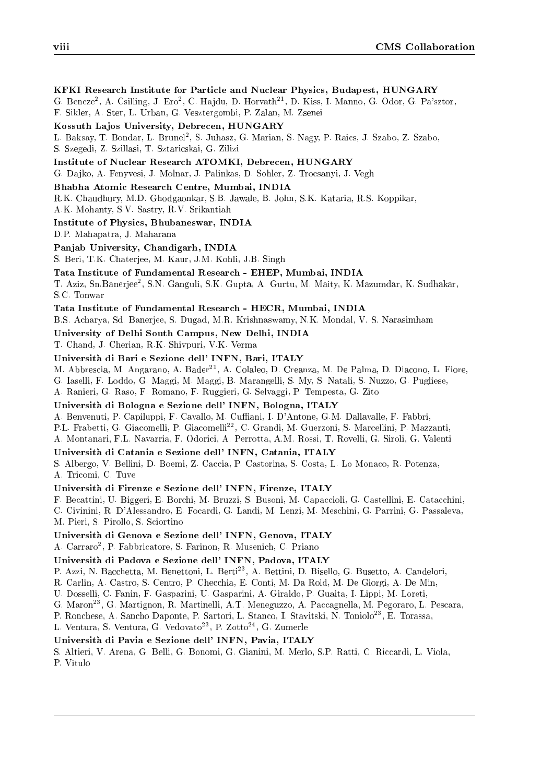### KFKI Research Institute for Particle and Nuclear Physics, Budapest, HUNGARY

G. Bencze<sup>2</sup>, A. Csilling, J. Ero<sup>2</sup>, C. Hajdu, D. Horvath<sup>21</sup>, D. Kiss, I. Manno, G. Odor, G. Pa'sztor, F. Sikler, A. Ster, L. Urban, G. Vesztergombi, P. Zalan, M. Zsenei

### Kossuth Lajos University, Debrecen, HUNGARY

L. Daksay, T. Dondar, L. Drunel, S. Juhasz, G. Marian, S. Nagy, P. Raics, J. Szabo, Z. Szabo,

S. Szegedi, Z. Szillasi, T. Sztaricskai, G. Zilizi

### Institute of Nuclear Research ATOMKI, Debrecen, HUNGARY

G. Da jko, A. Fenyvesi, J. Molnar, J. Palinkas, D. Sohler, Z. Trocsanyi, J. Vegh

#### Bhabha Atomic Research Centre, Mumbai, INDIA

R.K. Chaudhury, M.D. Ghodgaonkar, S.B. Jawale, B. John, S.K. Kataria, R.S. Koppikar,

A.K. Mohanty, S.V. Sastry, R.V. Srikantiah

### Institute of Physics, Bhubaneswar, INDIA

D.P. Mahapatra, J. Maharana

#### Panjab University, Chandigarh, INDIA

S. Beri, T.K. Chaterjee, M. Kaur, J.M. Kohli, J.B. Singh

### Tata Institute of Fundamental Research - EHEP, Mumbai, INDIA

T. Aziz, Sn.Banerjee2 , S.N. Ganguli, S.K. Gupta, A. Gurtu, M. Maity, K. Mazumdar, K. Sudhakar, S.C. Tonwar

### Tata Institute of Fundamental Research - HECR, Mumbai, INDIA

B.S. Acharya, Sd. Banerjee, S. Dugad, M.R. Krishnaswamy, N.K. Mondal, V. S. Narasimham

University of Delhi South Campus, New Delhi, INDIA

T. Chand, J. Cherian, R.K. Shivpuri, V.K. Verma

### Universita di Bari e Sezione dell' INFN, Bari, ITALY

M. Abbrescia, M. Angarano, A. Bader<sup>21</sup>, A. Colaleo, D. Creanza, M. De Palma, D. Diacono, L. Fiore,

G. Iaselli, F. Loddo, G. Maggi, M. Maggi, B. Marangelli, S. My, S. Natali, S. Nuzzo, G. Pugliese,

A. Ranieri, G. Raso, F. Romano, F. Ruggieri, G. Selvaggi, P. Tempesta, G. Zito

#### Universita di Bologna e Sezione dell' INFN, Bologna, ITALY

A. Benvenuti, P. Capiluppi, F. Cavallo, M. Cuffiani, I. D'Antone, G.M. Dallavalle, F. Fabbri,

P.L. Frabetti, G. Giacomelli, P. Giacomelli<sup>22</sup>, C. Grandi, M. Guerzoni, S. Marcellini, P. Mazzanti,

A. Montanari, F.L. Navarria, F. Odorici, A. Perrotta, A.M. Rossi, T. Rovelli, G. Siroli, G. Valenti

### Universita di Catania e Sezione dell' INFN, Catania, ITALY

S. Albergo, V. Bellini, D. Boemi, Z. Caccia, P. Castorina, S. Costa, L. Lo Monaco, R. Potenza, A. Tricomi, C. Tuve

#### Universita di Firenze e Sezione dell' INFN, Firenze, ITALY

F. Becattini, U. Biggeri, E. Borchi, M. Bruzzi, S. Busoni, M. Capaccioli, G. Castellini, E. Catacchini,

C. Civinini, R. D'Alessandro, E. Focardi, G. Landi, M. Lenzi, M. Meschini, G. Parrini, G. Passaleva,

M. Pieri, S. Pirollo, S. Sciortino

### Universita di Genova e Sezione dell' INFN, Genova, ITALY

A. Carraro2 , P. Fabbricatore, S. Farinon, R. Musenich, C. Priano

### Universita di Padova e Sezione dell' INFN, Padova, ITALY

P. Azzi, N. Bacchetta, M. Benettoni, L. Berti<sup>23</sup>, A. Bettini, D. Bisello, G. Busetto, A. Candelori,

R. Carlin, A. Castro, S. Centro, P. Checchia, E. Conti, M. Da Rold, M. De Giorgi, A. De Min,

- U. Dosselli, C. Fanin, F. Gasparini, U. Gasparini, A. Giraldo, P. Guaita, I. Lippi, M. Loreti,
- G. Maron23, G. Martignon, R. Martinelli, A.T. Meneguzzo, A. Paccagnella, M. Pegoraro, L. Pescara,

P. Ronchese, A. Sancho Daponte, P. Sartori, L. Stanco, I. Stavitski, N. Toniolo<sup>23</sup>, E. Torassa,

L. Ventura, S. Ventura, G. Vedovato<sup>23</sup>, P. Zotto<sup>24</sup>, G. Zumerle

### Universita di Pavia e Sezione dell' INFN, Pavia, ITALY

S. Altieri, V. Arena, G. Belli, G. Bonomi, G. Gianini, M. Merlo, S.P. Ratti, C. Riccardi, L. Viola, P. Vitulo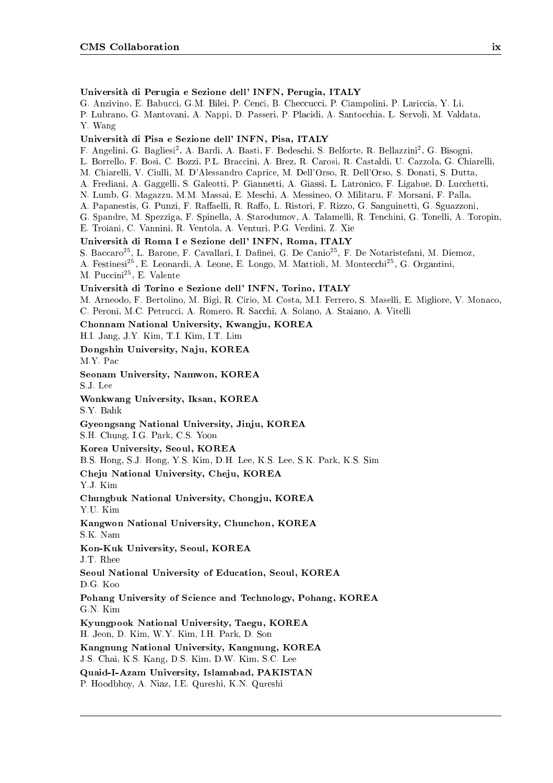### Universita di Perugia e Sezione dell' INFN, Perugia, ITALY

G. Anzivino, E. Babucci, G.M. Bilei, P. Cenci, B. Checcucci, P. Ciampolini, P. Lariccia, Y. Li,

P. Lubrano, G. Mantovani, A. Nappi, D. Passeri, P. Placidi, A. Santocchia, L. Servoli, M. Valdata, Y. Wang

### Universita di Pisa e Sezione dell' INFN, Pisa, ITALY

r. Angelini, G. Bagliesi", A. Bardi, A. Basti, F. Bedeschi, S. Bellorte, R. Bellazzini", G. Bisogni,

L. Borrello, F. Bosi, C. Bozzi, P.L. Braccini, A. Brez, R. Carosi, R. Castaldi, U. Cazzola, G. Chiarelli,

M. Chiarelli, V. Ciulli, M. D'Alessandro Caprice, M. Dell'Orso, R. Dell'Orso, S. Donati, S. Dutta,

A. Frediani, A. Gaggelli, S. Galeotti, P. Giannetti, A. Giassi, L. Latronico, F. Ligabue, D. Lucchetti,

N. Lumb, G. Magazzu, M.M. Massai, E. Meschi, A. Messineo, O. Militaru, F. Morsani, F. Palla,

A. Papanestis, G. Punzi, F. Raffaelli, R. Raffo, L. Ristori, F. Rizzo, G. Sanguinetti, G. Sguazzoni,

G. Spandre, M. Spezziga, F. Spinella, A. Starodumov, A. Talamelli, R. Tenchini, G. Tonelli, A. Toropin,

### E. Troiani, C. Vannini, R. Ventola, A. Venturi, P.G. Verdini, Z. Xie

Universita di Roma I e Sezione dell' INFN, Roma, ITALY

S. Baccaro<sup>25</sup>, L. Barone, F. Cavallari, I. Dafinei, G. De Canio<sup>25</sup>, F. De Notaristefani, M. Diemoz,

A. Festinesi<sup>25</sup>, E. Leonardi, A. Leone, E. Longo, M. Mattioli, M. Montecchi<sup>25</sup>, G. Organtini,

M. Puccini25, E. Valente

### Universita di Torino e Sezione dell' INFN, Torino, ITALY

M. Arneodo, F. Bertolino, M. Bigi, R. Cirio, M. Costa, M.I. Ferrero, S. Maselli, E. Migliore, V. Monaco, C. Peroni, M.C. Petrucci, A. Romero, R. Sacchi, A. Solano, A. Staiano, A. Vitelli

Chonnam National University, Kwangju, KOREA

H.I. Jang, J.Y. Kim, T.I. Kim, I.T. Lim

Dongshin University, Naju, KOREA M.Y. Pac

Seonam University, Namwon, KOREA S.J. Lee

Wonkwang University, Iksan, KOREA S.Y. Bahk

Gyeongsang National University, Jinju, KOREA

S.H. Chung, I.G. Park, C.S. Yoon

Korea University, Seoul, KOREA

B.S. Hong, S.J. Hong, Y.S. Kim, D.H. Lee, K.S. Lee, S.K. Park, K.S. Sim

Cheju National University, Cheju, KOREA

Y.J. Kim

Chungbuk National University, Chongju, KOREA Y.U. Kim

Kangwon National University, Chunchon, KOREA S.K. Nam

Kon-Kuk University, Seoul, KOREA J.T. Rhee

Seoul National University of Education, Seoul, KOREA

D.G. Koo

Pohang University of Science and Technology, Pohang, KOREA G.N. Kim

Kyungpook National University, Taegu, KOREA H. Jeon, D. Kim, W.Y. Kim, I.H. Park, D. Son

Kangnung National University, Kangnung, KOREA J.S. Chai, K.S. Kang, D.S. Kim, D.W. Kim, S.C. Lee

Quaid-I-Azam University, Islamabad, PAKISTAN P. Hoodbhoy, A. Niaz, I.E. Qureshi, K.N. Qureshi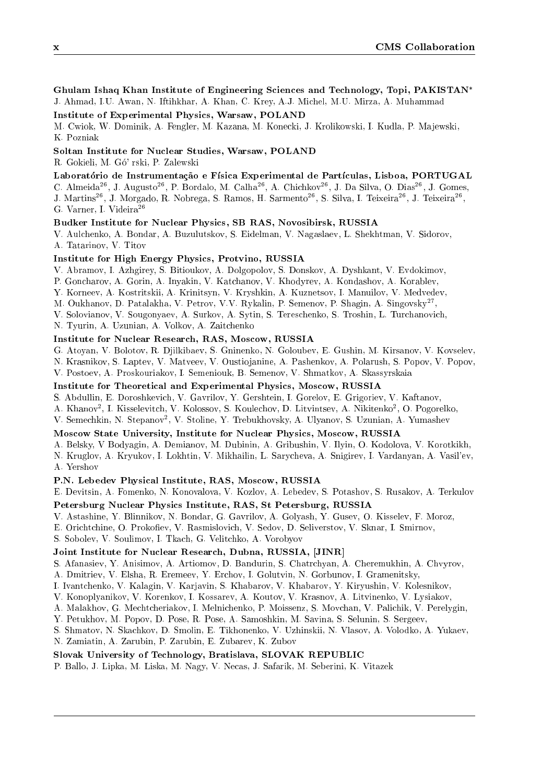Ghulam Ishaq Khan Institute of Engineering Sciences and Technology, Topi, PAKISTAN J. Ahmad, I.U. Awan, N. Iftihkhar, A. Khan, C. Krey, A.J. Michel, M.U. Mirza, A. Muhammad

Institute of Experimental Physics, Warsaw, POLAND

M. Cwiok, W. Dominik, A. Fengler, M. Kazana, M. Konecki, J. Krolikowski, I. Kudla, P. Ma jewski, K. Pozniak

### Soltan Institute for Nuclear Studies, Warsaw, POLAND

R. Gokieli, M. Go' rski, P. Zalewski

### Laboratório de Instrumentação e Física Experimental de Partículas, Lisboa, PORTUGAL

C. Almeida<sup>26</sup>, J. Augusto<sup>26</sup>, P. Bordalo, M. Calha<sup>26</sup>, A. Chichkov<sup>26</sup>, J. Da Silva, O. Dias<sup>26</sup>, J. Gomes, J. Martins<sup>26</sup>, J. Morgado, R. Nobrega, S. Ramos, H. Sarmento<sup>26</sup>, S. Silva, I. Teixeira<sup>26</sup>, J. Teixeira<sup>26</sup>, G. Varner, I. Videira26

### Budker Institute for Nuclear Physics, SB RAS, Novosibirsk, RUSSIA

V. Aulchenko, A. Bondar, A. Buzulutskov, S. Eidelman, V. Nagaslaev, L. Shekhtman, V. Sidorov, A. Tatarinov, V. Titov

### Institute for High Energy Physics, Protvino, RUSSIA

V. Abramov, I. Azhgirey, S. Bitioukov, A. Dolgopolov, S. Donskov, A. Dyshkant, V. Evdokimov,

- P. Goncharov, A. Gorin, A. Inyakin, V. Katchanov, V. Khodyrev, A. Kondashov, A. Korablev,
- Y. Korneev, A. Kostritskii, A. Krinitsyn, V. Kryshkin, A. Kuznetsov, I. Manuilov, V. Medvedev,
- M. Oukhanov, D. Patalakha, V. Petrov, V.V. Rykalin, P. Semenov, P. Shagin, A. Singovsky<sup>27</sup>, ,
- V. Solovianov, V. Sougonyaev, A. Surkov, A. Sytin, S. Tereschenko, S. Troshin, L. Turchanovich,
- N. Tyurin, A. Uzunian, A. Volkov, A. Zaitchenko

### Institute for Nuclear Research, RAS, Moscow, RUSSIA

G. Atoyan, V. Bolotov, R. Djilkibaev, S. Gninenko, N. Goloubev, E. Gushin, M. Kirsanov, V. Kovselev,

- N. Krasnikov, S. Laptev, V. Matveev, V. Oustio janine, A. Pashenkov, A. Polarush, S. Popov, V. Popov,
- V. Postoev, A. Proskouriakov, I. Semeniouk, B. Semenov, V. Shmatkov, A. Skassyrskaia

### Institute for Theoretical and Experimental Physics, Moscow, RUSSIA

S. Abdullin, E. Doroshkevich, V. Gavrilov, Y. Gershtein, I. Gorelov, E. Grigoriev, V. Kaftanov,

- A. KHanov-, I. KIsselevitch, V. Kolossov, S. Koulechov, D. Litvintsev, A. Ivikitenko-, O. Pogorelko,
- V. Semechkin, N. Stepanov2 , V. Stoline, Y. Trebukhovsky, A. Ulyanov, S. Uzunian, A. Yumashev

### Moscow State University, Institute for Nuclear Physics, Moscow, RUSSIA

A. Belsky, V Bodyagin, A. Demianov, M. Dubinin, A. Gribushin, V. Ilyin, O. Kodolova, V. Korotkikh,

N. Kruglov, A. Kryukov, I. Lokhtin, V. Mikhailin, L. Sarycheva, A. Snigirev, I. Vardanyan, A. Vasil'ev, A. Yershov

### P.N. Lebedev Physical Institute, RAS, Moscow, RUSSIA

E. Devitsin, A. Fomenko, N. Konovalova, V. Kozlov, A. Lebedev, S. Potashov, S. Rusakov, A. Terkulov

### Petersburg Nuclear Physics Institute, RAS, St Petersburg, RUSSIA

- V. Astashine, Y. Blinnikov, N. Bondar, G. Gavrilov, A. Golyash, Y. Gusev, O. Kisselev, F. Moroz,
- E. Orichtchine, O. Prokofiev, V. Rasmislovich, V. Sedov, D. Seliverstov, V. Sknar, I. Smirnov,

S. Sobolev, V. Soulimov, I. Tkach, G. Velitchko, A. Vorobyov

### Joint Institute for Nuclear Research, Dubna, RUSSIA, [JINR]

- S. Afanasiev, Y. Anisimov, A. Artiomov, D. Bandurin, S. Chatrchyan, A. Cheremukhin, A. Chvyrov,
- A. Dmitriev, V. Elsha, R. Eremeev, Y. Erchov, I. Golutvin, N. Gorbunov, I. Gramenitsky,
- I. Ivantchenko, V. Kalagin, V. Karjavin, S. Khabarov, V. Khabarov, Y. Kiryushin, V. Kolesnikov,
- V. Konoplyanikov, V. Korenkov, I. Kossarev, A. Koutov, V. Krasnov, A. Litvinenko, V. Lysiakov,
- A. Malakhov, G. Mechtcheriakov, I. Melnichenko, P. Moissenz, S. Movchan, V. Palichik, V. Perelygin,

Y. Petukhov, M. Popov, D. Pose, R. Pose, A. Samoshkin, M. Savina, S. Selunin, S. Sergeev,

- S. Shmatov, N. Skachkov, D. Smolin, E. Tikhonenko, V. Uzhinskii, N. Vlasov, A. Volodko, A. Yukaev,
- N. Zamiatin, A. Zarubin, P. Zarubin, E. Zubarev, K. Zubov

#### Slovak University of Technology, Bratislava, SLOVAK REPUBLIC

P. Ballo, J. Lipka, M. Liska, M. Nagy, V. Necas, J. Safarik, M. Seberini, K. Vitazek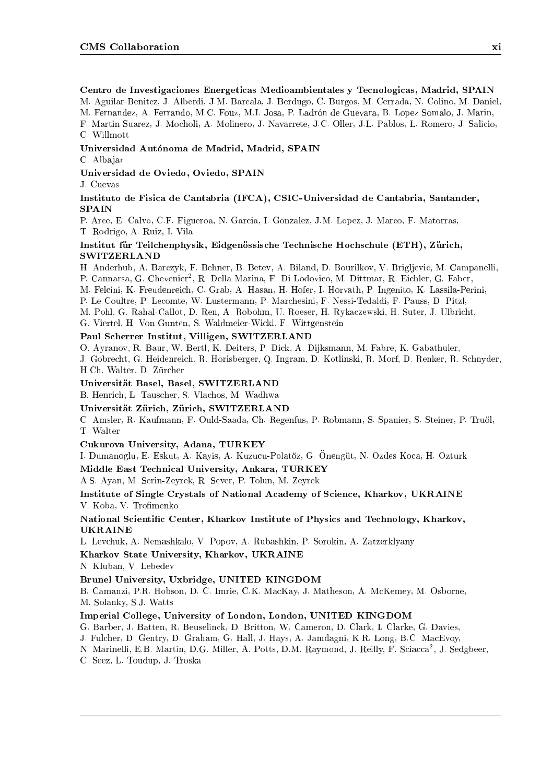Centro de Investigaciones Energeticas Medioambientales y Tecnologicas, Madrid, SPAIN

M. Aguilar-Benitez, J. Alberdi, J.M. Barcala, J. Berdugo, C. Burgos, M. Cerrada, N. Colino, M. Daniel,

M. Fernandez, A. Ferrando, M.C. Fouz, M.I. Josa, P. Ladron de Guevara, B. Lopez Somalo, J. Marin,

F. Martin Suarez, J. Mocholi, A. Molinero, J. Navarrete, J.C. Oller, J.L. Pablos, L. Romero, J. Salicio, C. Willmott

### Universidad Autonoma de Madrid, Madrid, SPAIN

C. Albajar

Universidad de Oviedo, Oviedo, SPAIN

J. Cuevas

### Instituto de Fisica de Cantabria (IFCA), CSIC-Universidad de Cantabria, Santander, SPAIN

P. Arce, E. Calvo, C.F. Figueroa, N. Garcia, I. Gonzalez, J.M. Lopez, J. Marco, F. Matorras, T. Rodrigo, A. Ruiz, I. Vila

### Institut für Teilchenphysik, Eidgenössische Technische Hochschule (ETH), Zürich, **SWITZERLAND**

H. Anderhub, A. Barczyk, F. Behner, B. Betev, A. Biland, D. Bourilkov, V. Brigljevic, M. Campanelli, P. Cannarsa, G. Chevenier , R. Della Marina, P. Di Lodovico, M. Dittinar, R. Eichler, G. Faber, M. Felcini, K. Freudenreich, C. Grab, A. Hasan, H. Hofer, I. Horvath, P. Ingenito, K. Lassila-Perini, P. Le Coultre, P. Lecomte, W. Lustermann, P. Marchesini, F. Nessi-Tedaldi, F. Pauss, D. Pitzl, M. Pohl, G. Rahal-Callot, D. Ren, A. Robohm, U. Roeser, H. Rykaczewski, H. Suter, J. Ulbricht, G. Viertel, H. Von Gunten, S. Waldmeier-Wicki, F. Wittgenstein

### Paul Scherrer Institut, Villigen, SWITZERLAND

O. Ayranov, R. Baur, W. Bertl, K. Deiters, P. Dick, A. Dijksmann, M. Fabre, K. Gabathuler, J. Gobrecht, G. Heidenreich, R. Horisberger, Q. Ingram, D. Kotlinski, R. Morf, D. Renker, R. Schnyder, H.Ch. Walter, D. Zürcher

### Universitat Basel, Basel, SWITZERLAND

B. Henrich, L. Tauscher, S. Vlachos, M. Wadhwa

### Universität Zürich, Zürich, SWITZERLAND

C. Amsler, R. Kaufmann, F. Ould-Saada, Ch. Regenfus, P. Robmann, S. Spanier, S. Steiner, P. Truol, T. Walter

Cukurova University, Adana, TURKEY

I. Dumanoglu, E. Eskut, A. Kayis, A. Kuzucu-Polatöz, G. Önengüt, N. Ozdes Koca, H. Ozturk

Middle East Technical University, Ankara, TURKEY

A.S. Ayan, M. Serin-Zeyrek, R. Sever, P. Tolun, M. Zeyrek

### Institute of Single Crystals of National Academy of Science, Kharkov, UKRAINE V. Koba, V. Trofimenko

### National Scientic Center, Kharkov Institute of Physics and Technology, Kharkov, UKRAINE

L. Levchuk, A. Nemashkalo, V. Popov, A. Rubashkin, P. Sorokin, A. Zatzerklyany

Kharkov State University, Kharkov, UKRAINE

N. Kluban, V. Lebedev

### Brunel University, Uxbridge, UNITED KINGDOM

B. Camanzi, P.R. Hobson, D. C. Imrie, C.K. MacKay, J. Matheson, A. McKemey, M. Osborne, M. Solanky, S.J. Watts

### Imperial College, University of London, London, UNITED KINGDOM

G. Barber, J. Batten, R. Beuselinck, D. Britton, W. Cameron, D. Clark, I. Clarke, G. Davies,

J. Fulcher, D. Gentry, D. Graham, G. Hall, J. Hays, A. Jamdagni, K.R. Long, B.C. MacEvoy,

N. Marinelli, E.B. Martin, D.G. Miller, A. Potts, D.M. Raymond, J. Reilly, F. Sciacca<sup>2</sup> , J. Sedgbeer,

C. Seez, L. Toudup, J. Troska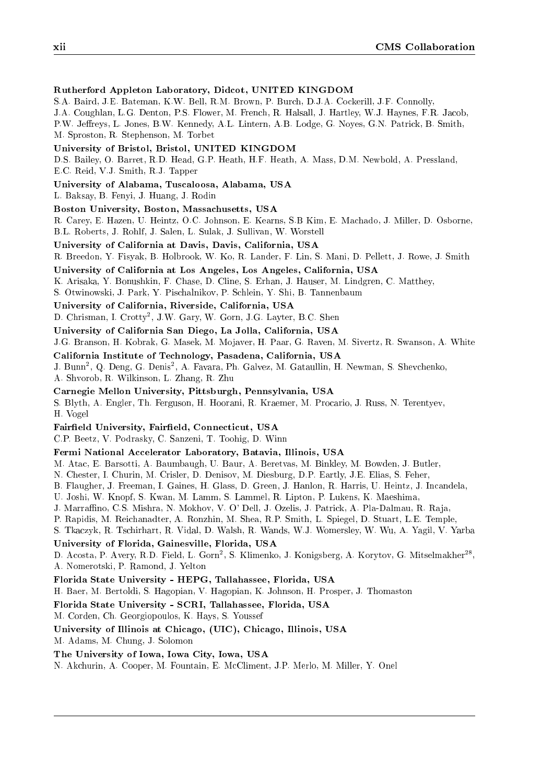### Rutherford Appleton Laboratory, Didcot, UNITED KINGDOM

S.A. Baird, J.E. Bateman, K.W. Bell, R.M. Brown, P. Burch, D.J.A. Cockerill, J.F. Connolly,

J.A. Coughlan, L.G. Denton, P.S. Flower, M. French, R. Halsall, J. Hartley, W.J. Haynes, F.R. Jacob,

P.W. Jeffreys, L. Jones, B.W. Kennedy, A.L. Lintern, A.B. Lodge, G. Noyes, G.N. Patrick, B. Smith, M. Sproston, R. Stephenson, M. Torbet

University of Bristol, Bristol, UNITED KINGDOM

D.S. Bailey, O. Barret, R.D. Head, G.P. Heath, H.F. Heath, A. Mass, D.M. Newbold, A. Pressland, E.C. Reid, V.J. Smith, R.J. Tapper

University of Alabama, Tuscaloosa, Alabama, USA

L. Baksay, B. Fenyi, J. Huang, J. Rodin

Boston University, Boston, Massachusetts, USA

R. Carey, E. Hazen, U. Heintz, O.C. Johnson, E. Kearns, S.B Kim, E. Machado, J. Miller, D. Osborne, B.L. Roberts, J. Rohlf, J. Salen, L. Sulak, J. Sullivan, W. Worstell

University of California at Davis, Davis, California, USA

R. Breedon, Y. Fisyak, B. Holbrook, W. Ko, R. Lander, F. Lin, S. Mani, D. Pellett, J. Rowe, J. Smith

University of California at Los Angeles, Los Angeles, California, USA

K. Arisaka, Y. Bonushkin, F. Chase, D. Cline, S. Erhan, J. Hauser, M. Lindgren, C. Matthey,

S. Otwinowski, J. Park, Y. Pischalnikov, P. Schlein, Y. Shi, B. Tannenbaum

University of California, Riverside, California, USA

D. Chrisman, I. Crotty2 , J.W. Gary, W. Gorn, J.G. Layter, B.C. Shen

University of California San Diego, La Jolla, California, USA

J.G. Branson, H. Kobrak, G. Masek, M. Mo javer, H. Paar, G. Raven, M. Sivertz, R. Swanson, A. White

California Institute of Technology, Pasadena, California, USA

J. Bunn-, Q. Deng, G. Denis-, A. Favara, Ph. Galvez, M. Gataullin, H. Newman, S. Shevchenko,

A. Shvorob, R. Wilkinson, L. Zhang, R. Zhu

Carnegie Mellon University, Pittsburgh, Pennsylvania, USA

S. Blyth, A. Engler, Th. Ferguson, H. Hoorani, R. Kraemer, M. Procario, J. Russ, N. Terentyev, H. Vogel

Fairfield University, Fairfield, Connecticut, USA

C.P. Beetz, V. Podrasky, C. Sanzeni, T. Toohig, D. Winn

### Fermi National Accelerator Laboratory, Batavia, Illinois, USA

M. Atac, E. Barsotti, A. Baumbaugh, U. Baur, A. Beretvas, M. Binkley, M. Bowden, J. Butler,

N. Chester, I. Churin, M. Crisler, D. Denisov, M. Diesburg, D.P. Eartly, J.E. Elias, S. Feher,

B. Flaugher, J. Freeman, I. Gaines, H. Glass, D. Green, J. Hanlon, R. Harris, U. Heintz, J. Incandela,

U. Joshi, W. Knopf, S. Kwan, M. Lamm, S. Lammel, R. Lipton, P. Lukens, K. Maeshima,

J. Marraffino, C.S. Mishra, N. Mokhov, V. O' Dell, J. Ozelis, J. Patrick, A. Pla-Dalmau, R. Raja,

P. Rapidis, M. Reichanadter, A. Ronzhin, M. Shea, R.P. Smith, L. Spiegel, D. Stuart, L.E. Temple,

S. Tkaczyk, R. Tschirhart, R. Vidal, D. Walsh, R. Wands, W.J. Womersley, W. Wu, A. Yagil, V. Yarba

### University of Florida, Gainesville, Florida, USA

D. Acosta, P. Avery, R.D. Field, L. Gorn , S. Klimenko, J. Konigsberg, A. Korytov, G. Mitselmakher , A. Nomerotski, P. Ramond, J. Yelton

### Florida State University - HEPG, Tallahassee, Florida, USA

H. Baer, M. Bertoldi, S. Hagopian, V. Hagopian, K. Johnson, H. Prosper, J. Thomaston

Florida State University - SCRI, Tallahassee, Florida, USA

M. Corden, Ch. Georgiopoulos, K. Hays, S. Youssef

#### University of Illinois at Chicago, (UIC), Chicago, Illinois, USA

M. Adams, M. Chung, J. Solomon

### The University of Iowa, Iowa City, Iowa, USA

N. Akchurin, A. Cooper, M. Fountain, E. McCliment, J.P. Merlo, M. Miller, Y. Onel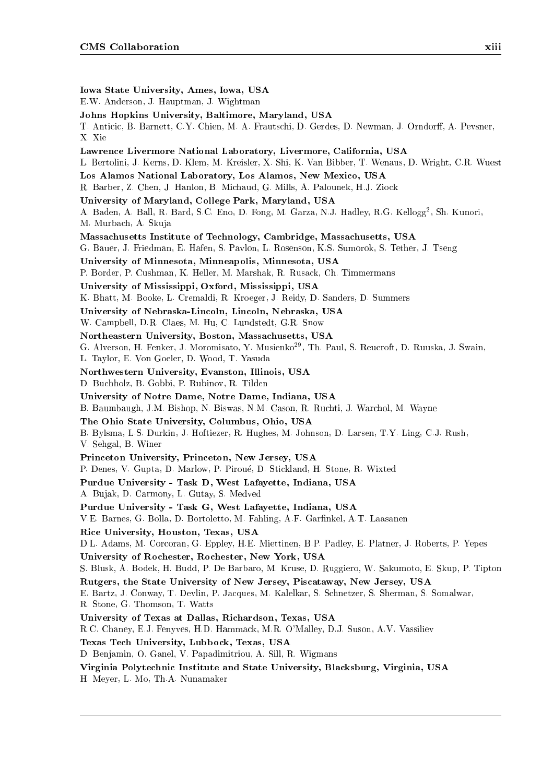Iowa State University, Ames, Iowa, USA E.W. Anderson, J. Hauptman, J. Wightman Johns Hopkins University, Baltimore, Maryland, USA T. Anticic, B. Barnett, C.Y. Chien, M. A. Frautschi, D. Gerdes, D. Newman, J. Orndorff, A. Pevsner, X. Xie Lawrence Livermore National Laboratory, Livermore, California, USA L. Bertolini, J. Kerns, D. Klem, M. Kreisler, X. Shi, K. Van Bibber, T. Wenaus, D. Wright, C.R. Wuest Los Alamos National Laboratory, Los Alamos, New Mexico, USA R. Barber, Z. Chen, J. Hanlon, B. Michaud, G. Mills, A. Palounek, H.J. Ziock University of Maryland, College Park, Maryland, USA A. Baden, A. Ball, R. Bard, S.C. Eno, D. Fong, M. Garza, N.J. Hadley, R.G. Kellogg<sup>2</sup> , Sh. Kunori, M. Murbach, A. Skuja Massachusetts Institute of Technology, Cambridge, Massachusetts, USA G. Bauer, J. Friedman, E. Hafen, S. Pavlon, L. Rosenson, K.S. Sumorok, S. Tether, J. Tseng University of Minnesota, Minneapolis, Minnesota, USA P. Border, P. Cushman, K. Heller, M. Marshak, R. Rusack, Ch. Timmermans University of Mississippi, Oxford, Mississippi, USA K. Bhatt, M. Booke, L. Cremaldi, R. Kroeger, J. Reidy, D. Sanders, D. Summers University of Nebraska-Lincoln, Lincoln, Nebraska, USA W. Campbell, D.R. Claes, M. Hu, C. Lundstedt, G.R. Snow Northeastern University, Boston, Massachusetts, USA G. Alverson, H. Fenker, J. Moromisato, Y. Musienko<sup>29</sup>, Th. Paul, S. Reucroft, D. Ruuska, J. Swain, L. Taylor, E. Von Goeler, D. Wood, T. Yasuda Northwestern University, Evanston, Illinois, USA D. Buchholz, B. Gobbi, P. Rubinov, R. Tilden University of Notre Dame, Notre Dame, Indiana, USA B. Baumbaugh, J.M. Bishop, N. Biswas, N.M. Cason, R. Ruchti, J. Warchol, M. Wayne The Ohio State University, Columbus, Ohio, USA B. Bylsma, L.S. Durkin, J. Hoftiezer, R. Hughes, M. Johnson, D. Larsen, T.Y. Ling, C.J. Rush, V. Sehgal, B. Winer Princeton University, Princeton, New Jersey, USA P. Denes, V. Gupta, D. Marlow, P. Piroue, D. Stickland, H. Stone, R. Wixted Purdue University - Task D, West Lafayette, Indiana, USA A. Bujak, D. Carmony, L. Gutay, S. Medved Purdue University - Task G, West Lafayette, Indiana, USA V.E. Barnes, G. Bolla, D. Bortoletto, M. Fahling, A.F. Garfinkel, A.T. Laasanen Rice University, Houston, Texas, USA D.L. Adams, M. Corcoran, G. Eppley, H.E. Miettinen, B.P. Padley, E. Platner, J. Roberts, P. Yepes University of Rochester, Rochester, New York, USA S. Blusk, A. Bodek, H. Budd, P. De Barbaro, M. Kruse, D. Ruggiero, W. Sakumoto, E. Skup, P. Tipton Rutgers, the State University of New Jersey, Piscataway, New Jersey, USA E. Bartz, J. Conway, T. Devlin, P. Jacques, M. Kalelkar, S. Schnetzer, S. Sherman, S. Somalwar, R. Stone, G. Thomson, T. Watts University of Texas at Dallas, Richardson, Texas, USA R.C. Chaney, E.J. Fenyves, H.D. Hammack, M.R. O'Malley, D.J. Suson, A.V. Vassiliev Texas Tech University, Lubbock, Texas, USA D. Benjamin, O. Ganel, V. Papadimitriou, A. Sill, R. Wigmans Virginia Polytechnic Institute and State University, Blacksburg, Virginia, USA H. Meyer, L. Mo, Th.A. Nunamaker